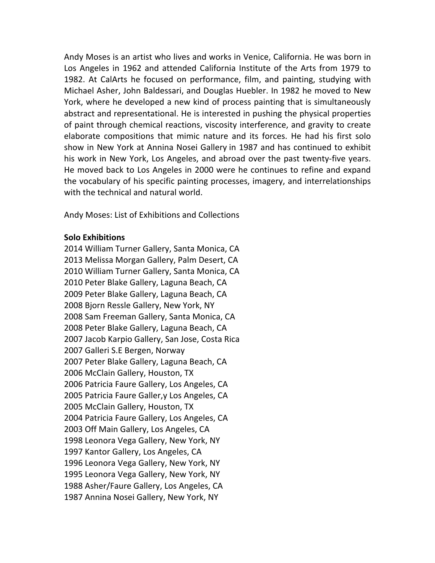Andy Moses is an artist who lives and works in Venice, California. He was born in Los Angeles in 1962 and attended California Institute of the Arts from 1979 to 1982. At CalArts he focused on performance, film, and painting, studying with Michael Asher, John Baldessari, and Douglas Huebler. In 1982 he moved to New York, where he developed a new kind of process painting that is simultaneously abstract and representational. He is interested in pushing the physical properties of paint through chemical reactions, viscosity interference, and gravity to create elaborate compositions that mimic nature and its forces. He had his first solo show in New York at Annina Nosei Gallery in 1987 and has continued to exhibit his work in New York, Los Angeles, and abroad over the past twenty-five years. He moved back to Los Angeles in 2000 were he continues to refine and expand the vocabulary of his specific painting processes, imagery, and interrelationships with the technical and natural world.

Andy Moses: List of Exhibitions and Collections

#### **Solo Exhibitions**

2014 William Turner Gallery, Santa Monica, CA 2013 Melissa Morgan Gallery, Palm Desert, CA 2010 William Turner Gallery, Santa Monica, CA 2010 Peter Blake Gallery, Laguna Beach, CA 2009 Peter Blake Gallery, Laguna Beach, CA 2008 Bjorn Ressle Gallery, New York, NY 2008 Sam Freeman Gallery, Santa Monica, CA 2008 Peter Blake Gallery, Laguna Beach, CA 2007 Jacob Karpio Gallery, San Jose, Costa Rica 2007 Galleri S.E Bergen, Norway 2007 Peter Blake Gallery, Laguna Beach, CA 2006 McClain Gallery, Houston, TX 2006 Patricia Faure Gallery, Los Angeles, CA 2005 Patricia Faure Galler, y Los Angeles, CA 2005 McClain Gallery, Houston, TX 2004 Patricia Faure Gallery, Los Angeles, CA 2003 Off Main Gallery, Los Angeles, CA 1998 Leonora Vega Gallery, New York, NY 1997 Kantor Gallery, Los Angeles, CA 1996 Leonora Vega Gallery, New York, NY 1995 Leonora Vega Gallery, New York, NY 1988 Asher/Faure Gallery, Los Angeles, CA 1987 Annina Nosei Gallery, New York, NY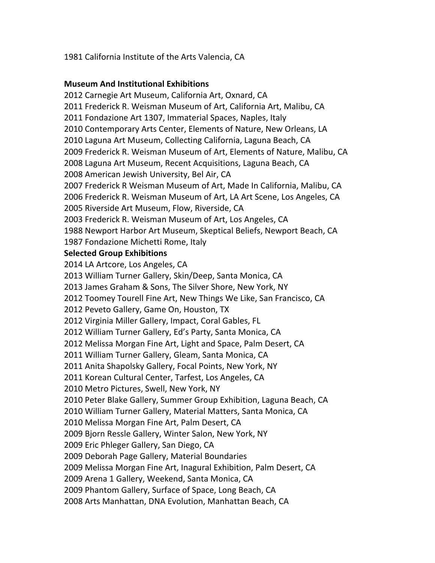1981 California Institute of the Arts Valencia, CA

# **Museum And Institutional Exhibitions**

2012 Carnegie Art Museum, California Art, Oxnard, CA 2011 Frederick R. Weisman Museum of Art, California Art, Malibu, CA 2011 Fondazione Art 1307, Immaterial Spaces, Naples, Italy 2010 Contemporary Arts Center, Elements of Nature, New Orleans, LA 2010 Laguna Art Museum, Collecting California, Laguna Beach, CA 2009 Frederick R. Weisman Museum of Art, Elements of Nature, Malibu, CA 2008 Laguna Art Museum, Recent Acquisitions, Laguna Beach, CA 2008 American Jewish University, Bel Air, CA 2007 Frederick R Weisman Museum of Art, Made In California, Malibu, CA 2006 Frederick R. Weisman Museum of Art, LA Art Scene, Los Angeles, CA 2005 Riverside Art Museum, Flow, Riverside, CA 2003 Frederick R. Weisman Museum of Art, Los Angeles, CA 1988 Newport Harbor Art Museum, Skeptical Beliefs, Newport Beach, CA 1987 Fondazione Michetti Rome, Italy **Selected Group Exhibitions** 2014 LA Artcore, Los Angeles, CA 2013 William Turner Gallery, Skin/Deep, Santa Monica, CA 2013 James Graham & Sons, The Silver Shore, New York, NY 2012 Toomey Tourell Fine Art, New Things We Like, San Francisco, CA 2012 Peveto Gallery, Game On, Houston, TX 2012 Virginia Miller Gallery, Impact, Coral Gables, FL 2012 William Turner Gallery, Ed's Party, Santa Monica, CA 2012 Melissa Morgan Fine Art, Light and Space, Palm Desert, CA 2011 William Turner Gallery, Gleam, Santa Monica, CA 2011 Anita Shapolsky Gallery, Focal Points, New York, NY 2011 Korean Cultural Center, Tarfest, Los Angeles, CA 2010 Metro Pictures, Swell, New York, NY 2010 Peter Blake Gallery, Summer Group Exhibition, Laguna Beach, CA 2010 William Turner Gallery, Material Matters, Santa Monica, CA 2010 Melissa Morgan Fine Art, Palm Desert, CA 2009 Bjorn Ressle Gallery, Winter Salon, New York, NY 2009 Eric Phleger Gallery, San Diego, CA 2009 Deborah Page Gallery, Material Boundaries 2009 Melissa Morgan Fine Art, Inagural Exhibition, Palm Desert, CA 2009 Arena 1 Gallery, Weekend, Santa Monica, CA 2009 Phantom Gallery, Surface of Space, Long Beach, CA 2008 Arts Manhattan, DNA Evolution, Manhattan Beach, CA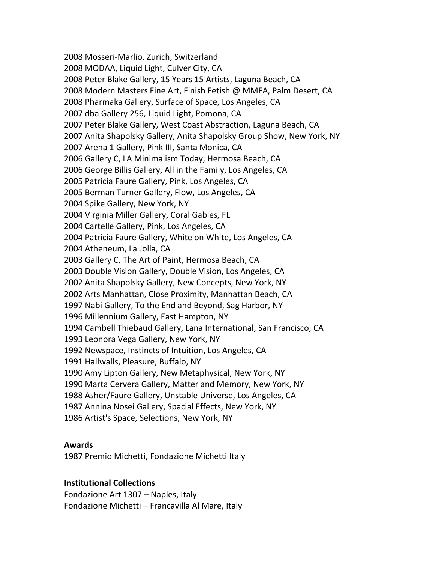2008 Mosseri-Marlio, Zurich, Switzerland 2008 MODAA, Liquid Light, Culver City, CA 2008 Peter Blake Gallery, 15 Years 15 Artists, Laguna Beach, CA 2008 Modern Masters Fine Art, Finish Fetish @ MMFA, Palm Desert, CA 2008 Pharmaka Gallery, Surface of Space, Los Angeles, CA 2007 dba Gallery 256, Liquid Light, Pomona, CA 2007 Peter Blake Gallery, West Coast Abstraction, Laguna Beach, CA 2007 Anita Shapolsky Gallery, Anita Shapolsky Group Show, New York, NY 2007 Arena 1 Gallery, Pink III, Santa Monica, CA 2006 Gallery C, LA Minimalism Today, Hermosa Beach, CA 2006 George Billis Gallery, All in the Family, Los Angeles, CA 2005 Patricia Faure Gallery, Pink, Los Angeles, CA 2005 Berman Turner Gallery, Flow, Los Angeles, CA 2004 Spike Gallery, New York, NY 2004 Virginia Miller Gallery, Coral Gables, FL 2004 Cartelle Gallery, Pink, Los Angeles, CA 2004 Patricia Faure Gallery, White on White, Los Angeles, CA 2004 Atheneum, La Jolla, CA 2003 Gallery C, The Art of Paint, Hermosa Beach, CA 2003 Double Vision Gallery, Double Vision, Los Angeles, CA 2002 Anita Shapolsky Gallery, New Concepts, New York, NY 2002 Arts Manhattan, Close Proximity, Manhattan Beach, CA 1997 Nabi Gallery, To the End and Beyond, Sag Harbor, NY 1996 Millennium Gallery, East Hampton, NY 1994 Cambell Thiebaud Gallery, Lana International, San Francisco, CA 1993 Leonora Vega Gallery, New York, NY 1992 Newspace, Instincts of Intuition, Los Angeles, CA 1991 Hallwalls, Pleasure, Buffalo, NY 1990 Amy Lipton Gallery, New Metaphysical, New York, NY 1990 Marta Cervera Gallery, Matter and Memory, New York, NY 1988 Asher/Faure Gallery, Unstable Universe, Los Angeles, CA 1987 Annina Nosei Gallery, Spacial Effects, New York, NY 1986 Artist's Space, Selections, New York, NY

### **Awards**

1987 Premio Michetti, Fondazione Michetti Italy

### **Institutional Collections**

Fondazione Art 1307 - Naples, Italy Fondazione Michetti – Francavilla Al Mare, Italy